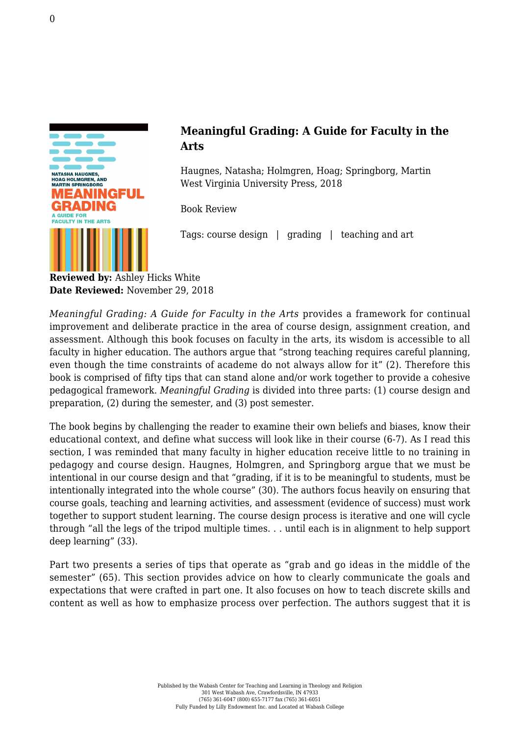

## **Meaningful Grading: A Guide for Faculty in the Arts**

Haugnes, Natasha; Holmgren, Hoag; Springborg, Martin [West Virginia University Press, 2018](http://wvupressonline.com/node/759)

Book Review

Tags: course design | grading | teaching and art

**Reviewed by:** Ashley Hicks White **Date Reviewed:** November 29, 2018

*Meaningful Grading: A Guide for Faculty in the Arts provides a framework for continual* improvement and deliberate practice in the area of course design, assignment creation, and assessment. Although this book focuses on faculty in the arts, its wisdom is accessible to all faculty in higher education. The authors argue that "strong teaching requires careful planning, even though the time constraints of academe do not always allow for it" (2). Therefore this book is comprised of fifty tips that can stand alone and/or work together to provide a cohesive pedagogical framework. *Meaningful Grading* is divided into three parts: (1) course design and preparation, (2) during the semester, and (3) post semester.

The book begins by challenging the reader to examine their own beliefs and biases, know their educational context, and define what success will look like in their course (6-7). As I read this section, I was reminded that many faculty in higher education receive little to no training in pedagogy and course design. Haugnes, Holmgren, and Springborg argue that we must be intentional in our course design and that "grading, if it is to be meaningful to students, must be intentionally integrated into the whole course" (30). The authors focus heavily on ensuring that course goals, teaching and learning activities, and assessment (evidence of success) must work together to support student learning. The course design process is iterative and one will cycle through "all the legs of the tripod multiple times. . . until each is in alignment to help support deep learning" (33).

Part two presents a series of tips that operate as "grab and go ideas in the middle of the semester" (65). This section provides advice on how to clearly communicate the goals and expectations that were crafted in part one. It also focuses on how to teach discrete skills and content as well as how to emphasize process over perfection. The authors suggest that it is